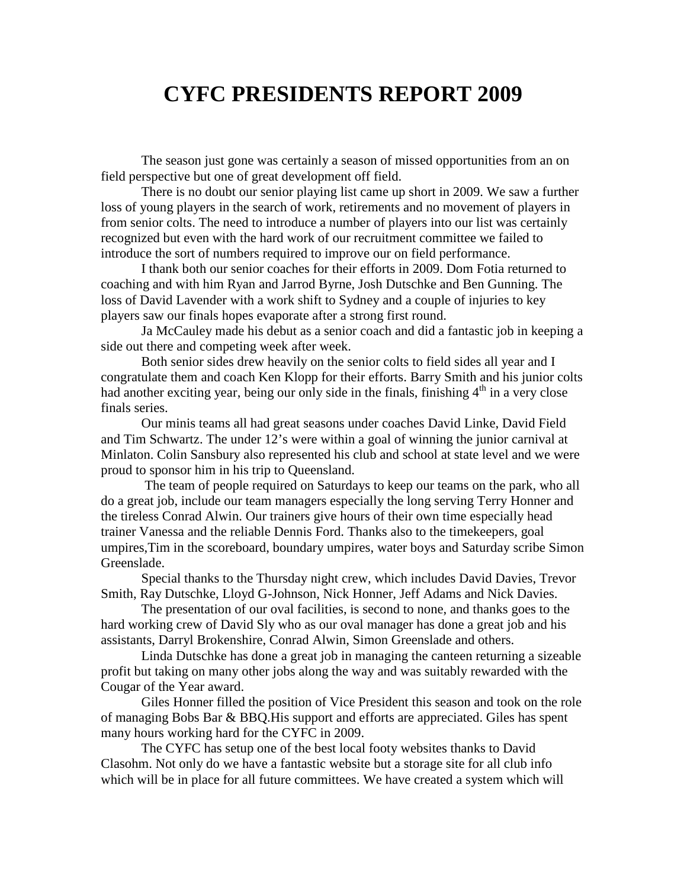## **CYFC PRESIDENTS REPORT 2009**

The season just gone was certainly a season of missed opportunities from an on field perspective but one of great development off field.

There is no doubt our senior playing list came up short in 2009. We saw a further loss of young players in the search of work, retirements and no movement of players in from senior colts. The need to introduce a number of players into our list was certainly recognized but even with the hard work of our recruitment committee we failed to introduce the sort of numbers required to improve our on field performance.

I thank both our senior coaches for their efforts in 2009. Dom Fotia returned to coaching and with him Ryan and Jarrod Byrne, Josh Dutschke and Ben Gunning. The loss of David Lavender with a work shift to Sydney and a couple of injuries to key players saw our finals hopes evaporate after a strong first round.

Ja McCauley made his debut as a senior coach and did a fantastic job in keeping a side out there and competing week after week.

Both senior sides drew heavily on the senior colts to field sides all year and I congratulate them and coach Ken Klopp for their efforts. Barry Smith and his junior colts had another exciting year, being our only side in the finals, finishing 4<sup>th</sup> in a very close finals series.

Our minis teams all had great seasons under coaches David Linke, David Field and Tim Schwartz. The under 12's were within a goal of winning the junior carnival at Minlaton. Colin Sansbury also represented his club and school at state level and we were proud to sponsor him in his trip to Queensland.

 The team of people required on Saturdays to keep our teams on the park, who all do a great job, include our team managers especially the long serving Terry Honner and the tireless Conrad Alwin. Our trainers give hours of their own time especially head trainer Vanessa and the reliable Dennis Ford. Thanks also to the timekeepers, goal umpires,Tim in the scoreboard, boundary umpires, water boys and Saturday scribe Simon Greenslade.

Special thanks to the Thursday night crew, which includes David Davies, Trevor Smith, Ray Dutschke, Lloyd G-Johnson, Nick Honner, Jeff Adams and Nick Davies.

The presentation of our oval facilities, is second to none, and thanks goes to the hard working crew of David Sly who as our oval manager has done a great job and his assistants, Darryl Brokenshire, Conrad Alwin, Simon Greenslade and others.

Linda Dutschke has done a great job in managing the canteen returning a sizeable profit but taking on many other jobs along the way and was suitably rewarded with the Cougar of the Year award.

Giles Honner filled the position of Vice President this season and took on the role of managing Bobs Bar & BBQ.His support and efforts are appreciated. Giles has spent many hours working hard for the CYFC in 2009.

The CYFC has setup one of the best local footy websites thanks to David Clasohm. Not only do we have a fantastic website but a storage site for all club info which will be in place for all future committees. We have created a system which will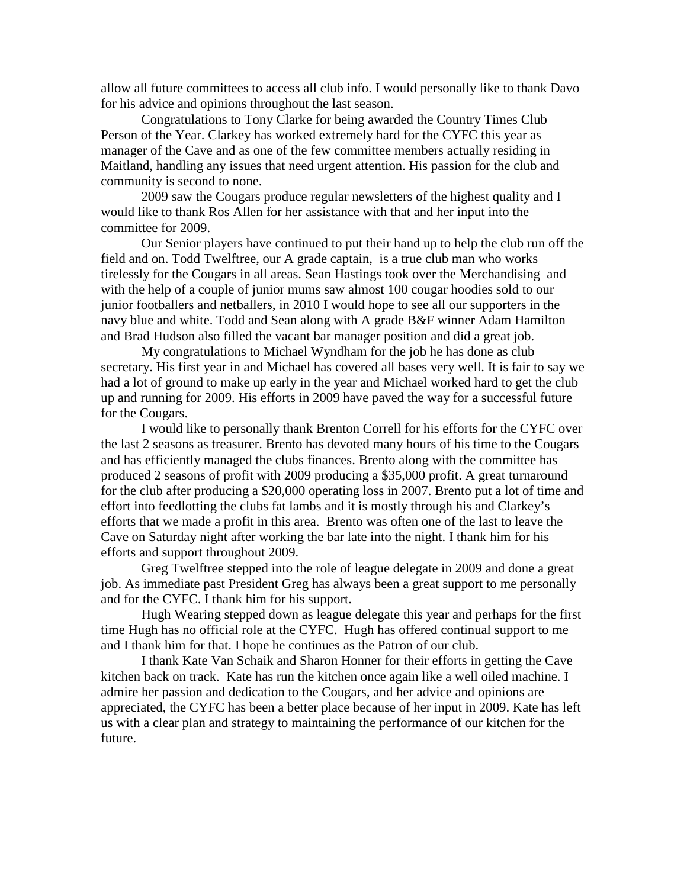allow all future committees to access all club info. I would personally like to thank Davo for his advice and opinions throughout the last season.

Congratulations to Tony Clarke for being awarded the Country Times Club Person of the Year. Clarkey has worked extremely hard for the CYFC this year as manager of the Cave and as one of the few committee members actually residing in Maitland, handling any issues that need urgent attention. His passion for the club and community is second to none.

2009 saw the Cougars produce regular newsletters of the highest quality and I would like to thank Ros Allen for her assistance with that and her input into the committee for 2009.

Our Senior players have continued to put their hand up to help the club run off the field and on. Todd Twelftree, our A grade captain, is a true club man who works tirelessly for the Cougars in all areas. Sean Hastings took over the Merchandising and with the help of a couple of junior mums saw almost 100 cougar hoodies sold to our junior footballers and netballers, in 2010 I would hope to see all our supporters in the navy blue and white. Todd and Sean along with A grade B&F winner Adam Hamilton and Brad Hudson also filled the vacant bar manager position and did a great job.

My congratulations to Michael Wyndham for the job he has done as club secretary. His first year in and Michael has covered all bases very well. It is fair to say we had a lot of ground to make up early in the year and Michael worked hard to get the club up and running for 2009. His efforts in 2009 have paved the way for a successful future for the Cougars.

I would like to personally thank Brenton Correll for his efforts for the CYFC over the last 2 seasons as treasurer. Brento has devoted many hours of his time to the Cougars and has efficiently managed the clubs finances. Brento along with the committee has produced 2 seasons of profit with 2009 producing a \$35,000 profit. A great turnaround for the club after producing a \$20,000 operating loss in 2007. Brento put a lot of time and effort into feedlotting the clubs fat lambs and it is mostly through his and Clarkey's efforts that we made a profit in this area. Brento was often one of the last to leave the Cave on Saturday night after working the bar late into the night. I thank him for his efforts and support throughout 2009.

Greg Twelftree stepped into the role of league delegate in 2009 and done a great job. As immediate past President Greg has always been a great support to me personally and for the CYFC. I thank him for his support.

Hugh Wearing stepped down as league delegate this year and perhaps for the first time Hugh has no official role at the CYFC. Hugh has offered continual support to me and I thank him for that. I hope he continues as the Patron of our club.

I thank Kate Van Schaik and Sharon Honner for their efforts in getting the Cave kitchen back on track. Kate has run the kitchen once again like a well oiled machine. I admire her passion and dedication to the Cougars, and her advice and opinions are appreciated, the CYFC has been a better place because of her input in 2009. Kate has left us with a clear plan and strategy to maintaining the performance of our kitchen for the future.